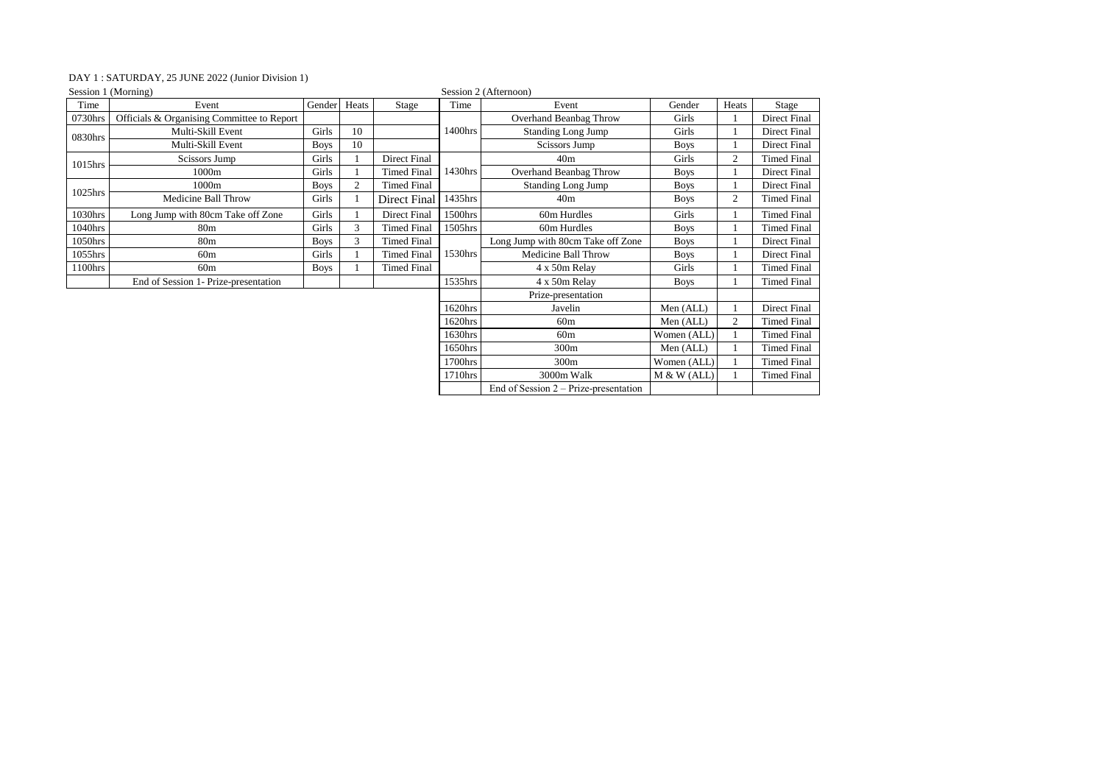## DAY 1 : SATURDAY, 25 JUNE 2022 (Junior Division 1)

| Session 1 (Morning)                        |             |                |                     |         |                                         |                       |                |                     |
|--------------------------------------------|-------------|----------------|---------------------|---------|-----------------------------------------|-----------------------|----------------|---------------------|
| Event                                      | Gender      | Heats          | Stage               | Time    | Event                                   | Gender                | Heats          | Stage               |
| Officials & Organising Committee to Report |             |                |                     |         | Overhand Beanbag Throw                  | Girls                 |                | Direct Final        |
| Multi-Skill Event                          | Girls       | 10             |                     | 1400hrs | <b>Standing Long Jump</b>               | Girls                 |                | <b>Direct Final</b> |
| Multi-Skill Event                          | <b>Boys</b> | 10             |                     |         | Scissors Jump                           | <b>Boys</b>           |                | Direct Final        |
| Scissors Jump                              | Girls       |                | Direct Final        | 1430hrs | 40 <sub>m</sub>                         | Girls                 | 2              | <b>Timed Final</b>  |
| 1000m                                      | Girls       |                | <b>Timed Final</b>  |         | Overhand Beanbag Throw                  | <b>Boys</b>           |                | Direct Final        |
| 1000m                                      | <b>Boys</b> | $\overline{c}$ | <b>Timed Final</b>  |         | <b>Standing Long Jump</b>               | <b>Boys</b>           |                | Direct Final        |
| Medicine Ball Throw                        | Girls       |                | Direct Final        | 1435hrs | 40 <sub>m</sub>                         | <b>Boys</b>           | 2              | <b>Timed Final</b>  |
| Long Jump with 80cm Take off Zone          | Girls       |                | <b>Direct Final</b> | 1500hrs | 60m Hurdles                             | Girls                 |                | <b>Timed Final</b>  |
| 80 <sub>m</sub>                            | Girls       | 3              | <b>Timed Final</b>  | 1505hrs | 60m Hurdles                             | <b>Boys</b>           |                | <b>Timed Final</b>  |
| 80 <sub>m</sub>                            | <b>Boys</b> | 3              | <b>Timed Final</b>  | 1530hrs | Long Jump with 80cm Take off Zone       | <b>Boys</b>           |                | Direct Final        |
| 60 <sub>m</sub>                            | Girls       |                | <b>Timed Final</b>  |         | Medicine Ball Throw                     | <b>Boys</b>           |                | Direct Final        |
| 60 <sub>m</sub>                            | Boys        |                | <b>Timed Final</b>  |         | 4 x 50m Relay                           | Girls                 |                | <b>Timed Final</b>  |
| End of Session 1- Prize-presentation       |             |                |                     | 1535hrs | 4 x 50m Relay                           | <b>Boys</b>           |                | <b>Timed Final</b>  |
|                                            |             |                |                     |         | Prize-presentation                      |                       |                |                     |
|                                            |             |                |                     | 1620hrs | Javelin                                 | Men (ALL)             |                | <b>Direct Final</b> |
|                                            |             |                |                     | 1620hrs | 60m                                     | Men (ALL)             | $\overline{2}$ | <b>Timed Final</b>  |
|                                            |             |                |                     | 1630hrs | 60m                                     | Women (ALL)           |                | <b>Timed Final</b>  |
|                                            |             |                |                     | 1650hrs | 300m                                    | Men (ALL)             |                | <b>Timed Final</b>  |
|                                            |             |                |                     | 1700hrs | 300m                                    | Women (ALL)           |                | <b>Timed Final</b>  |
|                                            |             |                |                     | 1710hrs | 3000m Walk                              | M & W (ALL)           |                | <b>Timed Final</b>  |
|                                            |             |                |                     |         | End of Session $2 - Prize-presentation$ |                       |                |                     |
|                                            |             |                |                     |         |                                         | Session 2 (Afternoon) |                |                     |